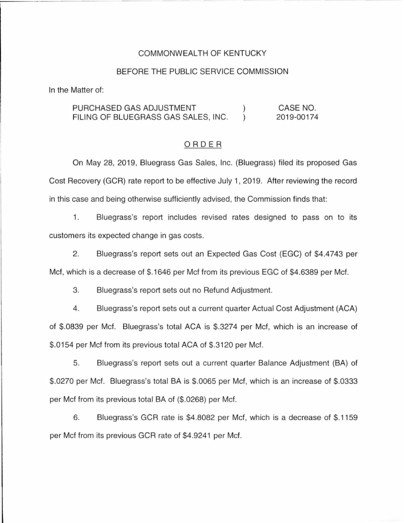### COMMONWEALTH OF KENTUCKY

#### BEFORE THE PUBLIC SERVICE COMMISSION

In the Matter of:

PURCHASED GAS ADJUSTMENT  $\left\{ \right\}$ CASE NO. FILING OF BLUEGRASS GAS SALES, INC. 2019-00174

#### ORDER

On May 28, 2019, Bluegrass Gas Sales, Inc. (Bluegrass) filed its proposed Gas Cost Recovery (GCR) rate report to be effective July 1, 2019. After reviewing the record in this case and being otherwise sufficiently advised, the Commission finds that:

1. Bluegrass's report includes revised rates designed to pass on to its customers its expected change in gas costs.

2. Bluegrass's report sets out an Expected Gas Cost (EGC) of \$4.4743 per Met, which is a decrease of \$.1646 per Met from its previous EGC of \$4.6389 per Met.

3. Bluegrass's report sets out no Refund Adjustment.

4. Bluegrass's report sets out a current quarter Actual Cost Adjustment (ACA) of \$.0839 per Met. Bluegrass's total ACA is \$.3274 per Met, which is an increase of \$.0154 per Met from its previous total ACA of \$.3120 per Met.

5. Bluegrass's report sets out a current quarter Balance Adjustment (BA) of \$.0270 per Met. Bluegrass's total BA is \$.0065 per Met, which is an increase of \$.0333 per Met from its previous total BA of (\$.0268) per Met.

6. Bluegrass's GCR rate is \$4.8082 per Met, which is a decrease of \$.1159 per Met from its previous GCR rate of \$4.9241 per Met.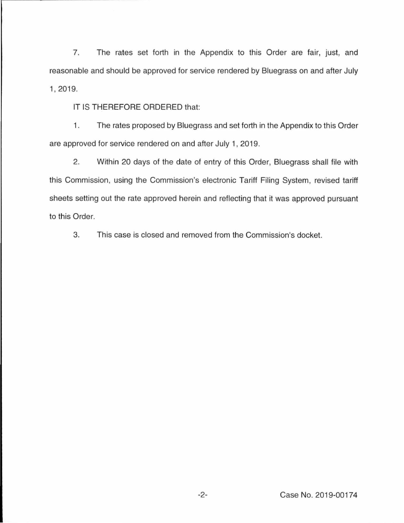7. The rates set forth in the Appendix to this Order are fair, just, and reasonable and should be approved for service rendered by Bluegrass on and after July 1, 2019.

IT IS THEREFORE ORDERED that:

1. The rates proposed by Bluegrass and set forth in the Appendix to this Order are approved for service rendered on and after July 1, 2019.

2. Within 20 days of the date of entry of this Order, Bluegrass shall file with this Commission, using the Commission's electronic Tariff Filing System, revised tariff sheets setting out the rate approved herein and reflecting that it was approved pursuant to this Order.

3. This case is closed and removed from the Commission's docket.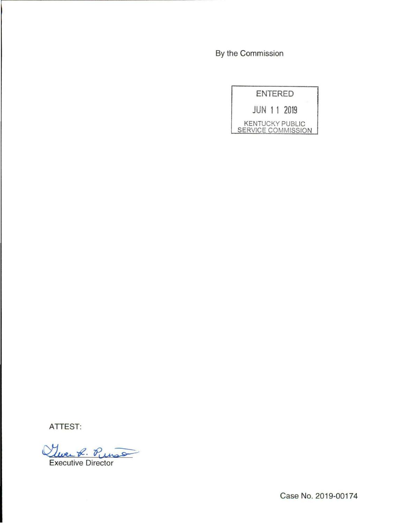By the Commission

|                    |  | ENTERED                |
|--------------------|--|------------------------|
|                    |  | <b>JUN 11 2019</b>     |
| SERVICE COMMISSION |  | <b>KENTUCKY PUBLIC</b> |

ATTEST:

Que R. Punso

Case No. 2019-00174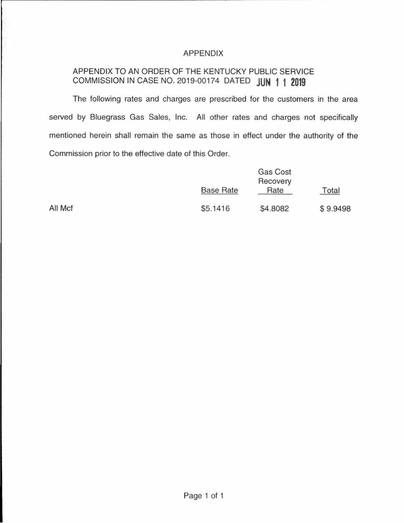## APPENDIX

# APPENDIX TO AN ORDER OF THE KENTUCKY PUBLIC SERVICE COMMISSION IN CASE NO. 2019-00174 DATED **JUN 11 2019**

The following rates and charges are prescribed for the customers in the area served by Bluegrass Gas Sales, Inc. All other rates and charges not specifically mentioned herein shall remain the same as those in effect under the authority of the Commission prior to the effective date of this Order.

|         | <b>Base Rate</b> | Gas Cost<br>Recovery<br>Rate | Total    |
|---------|------------------|------------------------------|----------|
| All Mcf | \$5.1416         | \$4.8082                     | \$9.9498 |